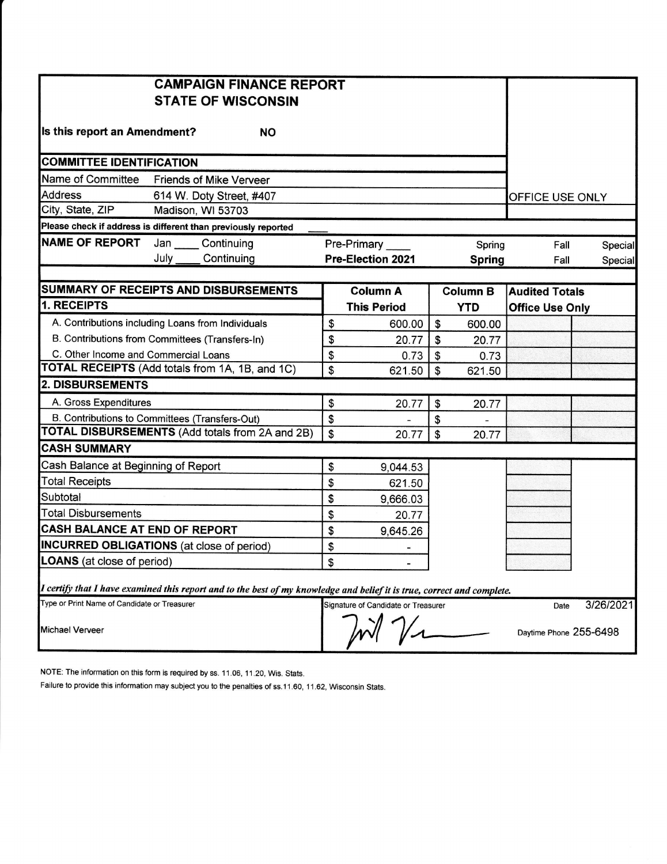|                                                                                                                         | <b>CAMPAIGN FINANCE REPORT</b> |    |                                     |               |                 |                        |           |
|-------------------------------------------------------------------------------------------------------------------------|--------------------------------|----|-------------------------------------|---------------|-----------------|------------------------|-----------|
|                                                                                                                         | <b>STATE OF WISCONSIN</b>      |    |                                     |               |                 |                        |           |
|                                                                                                                         |                                |    |                                     |               |                 |                        |           |
| Is this report an Amendment?                                                                                            | <b>NO</b>                      |    |                                     |               |                 |                        |           |
|                                                                                                                         |                                |    |                                     |               |                 |                        |           |
| <b>COMMITTEE IDENTIFICATION</b>                                                                                         |                                |    |                                     |               |                 |                        |           |
| Name of Committee                                                                                                       | <b>Friends of Mike Verveer</b> |    |                                     |               |                 |                        |           |
| <b>Address</b>                                                                                                          | 614 W. Doty Street, #407       |    |                                     |               |                 | OFFICE USE ONLY        |           |
| City, State, ZIP                                                                                                        | Madison, WI 53703              |    |                                     |               |                 |                        |           |
| Please check if address is different than previously reported                                                           |                                |    |                                     |               |                 |                        |           |
| <b>NAME OF REPORT</b>                                                                                                   | Jan Continuing                 |    | Pre-Primary                         |               | Spring          | Fall                   | Special   |
| July                                                                                                                    | Continuing                     |    | <b>Pre-Election 2021</b>            |               | <b>Spring</b>   | Fall                   | Special   |
|                                                                                                                         |                                |    |                                     |               |                 |                        |           |
| SUMMARY OF RECEIPTS AND DISBURSEMENTS                                                                                   |                                |    | <b>Column A</b>                     |               | <b>Column B</b> | <b>Audited Totals</b>  |           |
| 1. RECEIPTS                                                                                                             |                                |    | <b>This Period</b>                  |               | <b>YTD</b>      | <b>Office Use Only</b> |           |
| A. Contributions including Loans from Individuals                                                                       |                                | \$ | 600.00                              | \$            | 600.00          |                        |           |
| B. Contributions from Committees (Transfers-In)                                                                         |                                |    | 20.77                               | \$            | 20.77           |                        |           |
| C. Other Income and Commercial Loans                                                                                    |                                | \$ | 0.73                                | \$            | 0.73            |                        |           |
| TOTAL RECEIPTS (Add totals from 1A, 1B, and 1C)                                                                         |                                |    | 621.50                              | $\mathsf{\$}$ | 621.50          |                        |           |
| <b>2. DISBURSEMENTS</b>                                                                                                 |                                |    |                                     |               |                 |                        |           |
| A. Gross Expenditures                                                                                                   |                                | \$ | 20.77                               | \$            | 20.77           |                        |           |
| B. Contributions to Committees (Transfers-Out)                                                                          |                                | \$ |                                     | \$            |                 |                        |           |
| <b>TOTAL DISBURSEMENTS (Add totals from 2A and 2B)</b>                                                                  |                                | \$ | 20.77                               | \$            | 20.77           |                        |           |
| <b>CASH SUMMARY</b>                                                                                                     |                                |    |                                     |               |                 |                        |           |
| Cash Balance at Beginning of Report                                                                                     |                                | \$ | 9,044.53                            |               |                 |                        |           |
| <b>Total Receipts</b>                                                                                                   |                                | \$ | 621.50                              |               |                 |                        |           |
| Subtotal                                                                                                                |                                | \$ | 9,666.03                            |               |                 |                        |           |
| <b>Total Disbursements</b>                                                                                              |                                | \$ | 20.77                               |               |                 |                        |           |
| <b>CASH BALANCE AT END OF REPORT</b>                                                                                    |                                | \$ | 9,645.26                            |               |                 |                        |           |
| <b>INCURRED OBLIGATIONS</b> (at close of period)                                                                        |                                | \$ | $\blacksquare$                      |               |                 |                        |           |
| <b>LOANS</b> (at close of period)                                                                                       |                                | \$ |                                     |               |                 |                        |           |
|                                                                                                                         |                                |    |                                     |               |                 |                        |           |
| I certify that I have examined this report and to the best of my knowledge and belief it is true, correct and complete. |                                |    |                                     |               |                 |                        |           |
| Type or Print Name of Candidate or Treasurer                                                                            |                                |    | Signature of Candidate or Treasurer |               |                 | Date                   | 3/26/2021 |
| <b>Michael Verveer</b>                                                                                                  |                                |    |                                     |               |                 | Daytime Phone 255-6498 |           |
|                                                                                                                         |                                |    |                                     |               |                 |                        |           |

NOTE: The information on this form is required by ss. 11.06, 11.20, Wis. Stats.

Failure to provide this information may subject you to the penalties of ss.11.60, 11.62, Wisconsin Stats.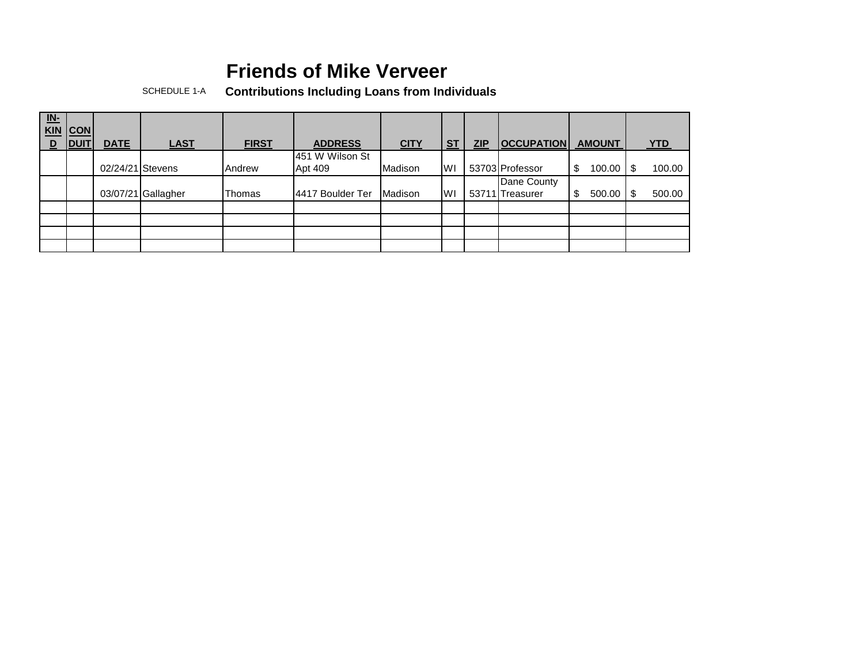SCHEDULE 1-A **Contributions Including Loans from Individuals**

| $\underline{\mathsf{IN}}$<br><b>KIN</b><br>$\overline{\mathsf{D}}$ | CON <br><b>IDUIT</b> | <b>DATE</b>      | <b>LAST</b>        | <b>FIRST</b> | <b>ADDRESS</b>   | <b>CITY</b> | <b>ST</b> | <b>ZIP</b> | <b>OCCUPATION</b> | <b>AMOUNT</b> | <b>YTD</b>   |
|--------------------------------------------------------------------|----------------------|------------------|--------------------|--------------|------------------|-------------|-----------|------------|-------------------|---------------|--------------|
|                                                                    |                      |                  |                    |              | 451 W Wilson St  |             |           |            |                   |               |              |
|                                                                    |                      | 02/24/21 Stevens |                    | Andrew       | Apt 409          | Madison     | <b>WI</b> |            | 53703 Professor   | 100.00        | 100.00<br>\$ |
|                                                                    |                      |                  |                    |              |                  |             |           |            | Dane County       |               |              |
|                                                                    |                      |                  | 03/07/21 Gallagher | Thomas       | 4417 Boulder Ter | Madison     | <b>WI</b> |            | 53711 Treasurer   | 500.00        | 500.00<br>\$ |
|                                                                    |                      |                  |                    |              |                  |             |           |            |                   |               |              |
|                                                                    |                      |                  |                    |              |                  |             |           |            |                   |               |              |
|                                                                    |                      |                  |                    |              |                  |             |           |            |                   |               |              |
|                                                                    |                      |                  |                    |              |                  |             |           |            |                   |               |              |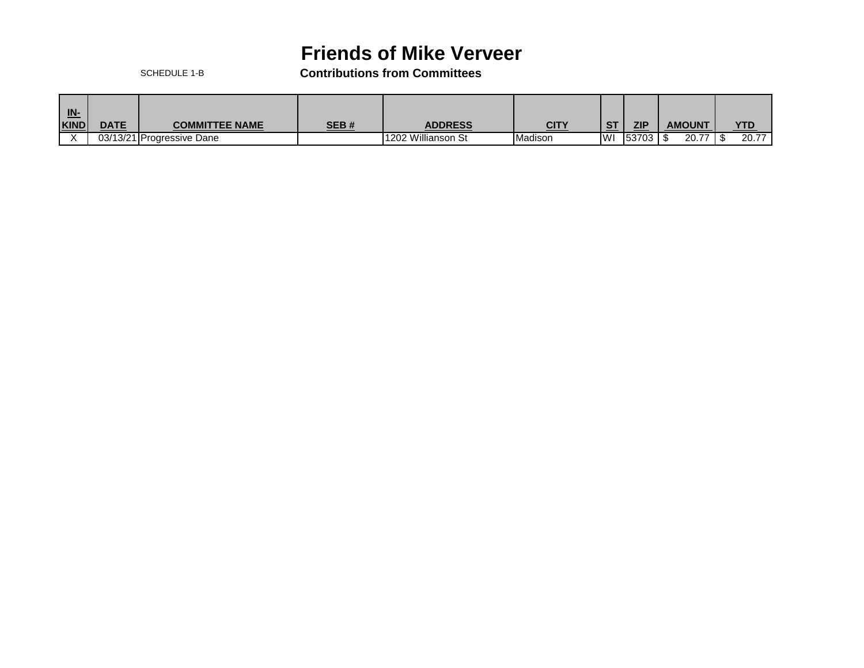SCHEDULE 1-B **Contributions from Committees**

| <u>IN-</u><br><b>KIND</b> | <b>DATE</b> | <b>COMMITTEE NAME</b>     | SEB# | <b>ADDRESS</b>     | CITY    | $\sim$ | ZIP   | <b>AMOUNT</b> | <b>YTD</b> |
|---------------------------|-------------|---------------------------|------|--------------------|---------|--------|-------|---------------|------------|
|                           |             |                           |      |                    |         |        |       |               |            |
|                           |             | 03/13/21 Progressive Dane |      | 1202 Willianson St | Madison | IWI    | 53703 | 20.77         | 20.77      |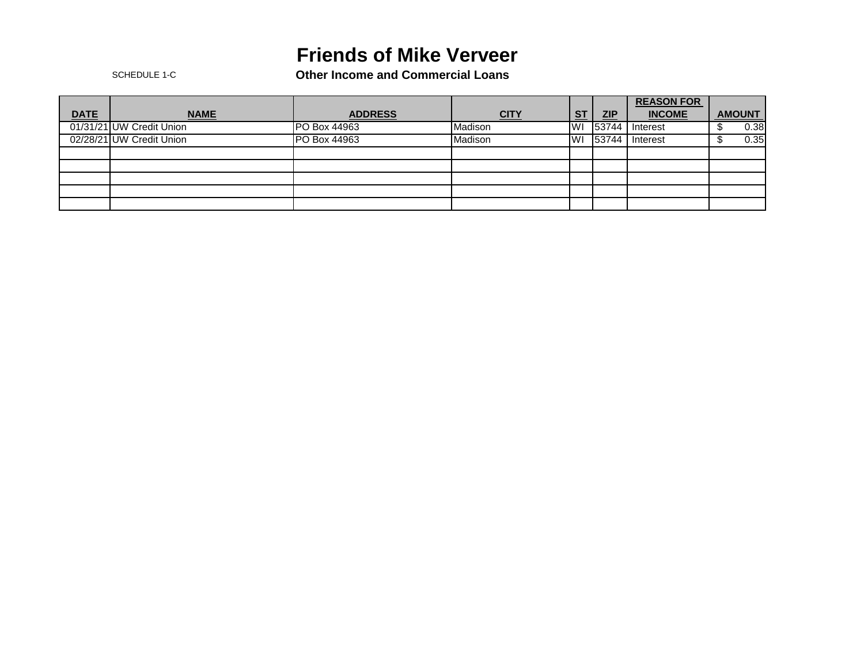SCHEDULE 1-C **Other Income and Commercial Loans**

|             |                          |                     |             |           |       | <b>REASON FOR</b> |               |      |
|-------------|--------------------------|---------------------|-------------|-----------|-------|-------------------|---------------|------|
| <b>DATE</b> | <b>NAME</b>              | <b>ADDRESS</b>      | <b>CITY</b> | <b>ST</b> | ZIP   | <b>INCOME</b>     | <b>AMOUNT</b> |      |
|             | 01/31/21 UW Credit Union | <b>PO Box 44963</b> | Madison     | IWI       | 53744 | Interest          |               | 0.38 |
|             | 02/28/21 UW Credit Union | PO Box 44963        | Madison     | IWI       | 53744 | Interest          |               | 0.35 |
|             |                          |                     |             |           |       |                   |               |      |
|             |                          |                     |             |           |       |                   |               |      |
|             |                          |                     |             |           |       |                   |               |      |
|             |                          |                     |             |           |       |                   |               |      |
|             |                          |                     |             |           |       |                   |               |      |